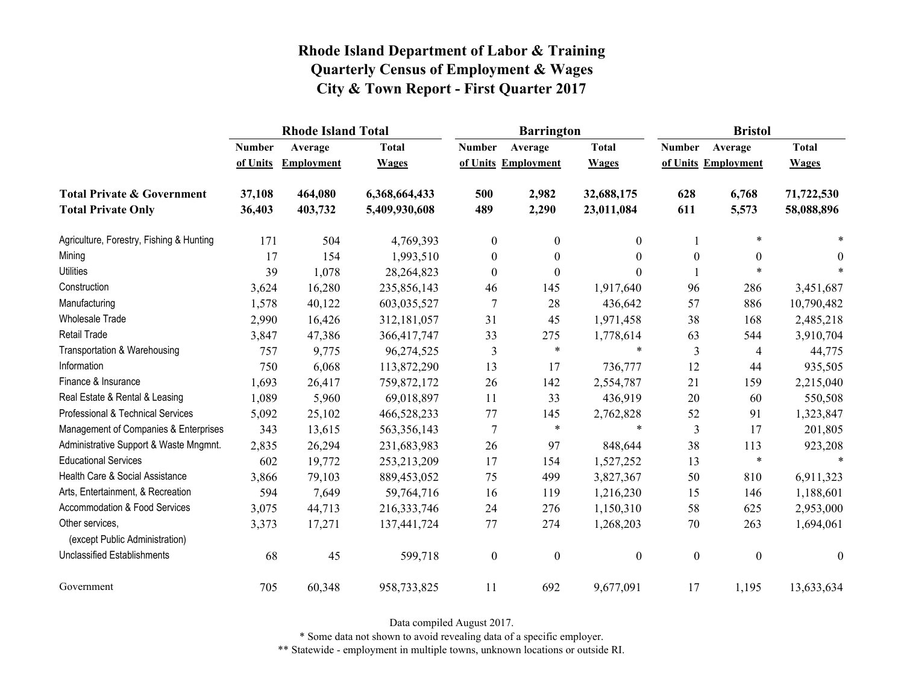|                                                   |               | <b>Rhode Island Total</b> |               |                  | <b>Barrington</b>   |              | <b>Bristol</b>   |                     |                  |
|---------------------------------------------------|---------------|---------------------------|---------------|------------------|---------------------|--------------|------------------|---------------------|------------------|
|                                                   | <b>Number</b> | Average                   | <b>Total</b>  | <b>Number</b>    | Average             | <b>Total</b> | <b>Number</b>    | Average             | <b>Total</b>     |
|                                                   | of Units      | <b>Employment</b>         | <b>Wages</b>  |                  | of Units Employment | <b>Wages</b> |                  | of Units Employment | <b>Wages</b>     |
| <b>Total Private &amp; Government</b>             | 37,108        | 464,080                   | 6,368,664,433 | 500              | 2,982               | 32,688,175   | 628              | 6,768               | 71,722,530       |
| <b>Total Private Only</b>                         | 36,403        | 403,732                   | 5,409,930,608 | 489              | 2,290               | 23,011,084   | 611              | 5,573               | 58,088,896       |
| Agriculture, Forestry, Fishing & Hunting          | 171           | 504                       | 4,769,393     | $\boldsymbol{0}$ | $\boldsymbol{0}$    | 0            |                  | $\ast$              |                  |
| Mining                                            | 17            | 154                       | 1,993,510     | $\boldsymbol{0}$ | $\boldsymbol{0}$    | 0            | $\boldsymbol{0}$ | $\theta$            | 0                |
| <b>Utilities</b>                                  | 39            | 1,078                     | 28,264,823    | $\theta$         | $\boldsymbol{0}$    | 0            |                  | *                   |                  |
| Construction                                      | 3,624         | 16,280                    | 235,856,143   | 46               | 145                 | 1,917,640    | 96               | 286                 | 3,451,687        |
| Manufacturing                                     | 1,578         | 40,122                    | 603,035,527   | 7                | 28                  | 436,642      | 57               | 886                 | 10,790,482       |
| <b>Wholesale Trade</b>                            | 2,990         | 16,426                    | 312,181,057   | 31               | 45                  | 1,971,458    | 38               | 168                 | 2,485,218        |
| <b>Retail Trade</b>                               | 3,847         | 47,386                    | 366,417,747   | 33               | 275                 | 1,778,614    | 63               | 544                 | 3,910,704        |
| Transportation & Warehousing                      | 757           | 9,775                     | 96,274,525    | $\mathfrak{Z}$   | $\ast$              | $\ast$       | $\mathfrak{Z}$   | 4                   | 44,775           |
| Information                                       | 750           | 6,068                     | 113,872,290   | 13               | 17                  | 736,777      | 12               | 44                  | 935,505          |
| Finance & Insurance                               | 1,693         | 26,417                    | 759,872,172   | 26               | 142                 | 2,554,787    | 21               | 159                 | 2,215,040        |
| Real Estate & Rental & Leasing                    | 1,089         | 5,960                     | 69,018,897    | 11               | 33                  | 436,919      | 20               | 60                  | 550,508          |
| Professional & Technical Services                 | 5,092         | 25,102                    | 466,528,233   | 77               | 145                 | 2,762,828    | 52               | 91                  | 1,323,847        |
| Management of Companies & Enterprises             | 343           | 13,615                    | 563,356,143   | 7                | $\ast$              | $\ast$       | $\mathfrak{Z}$   | 17                  | 201,805          |
| Administrative Support & Waste Mngmnt.            | 2,835         | 26,294                    | 231,683,983   | 26               | 97                  | 848,644      | 38               | 113                 | 923,208          |
| <b>Educational Services</b>                       | 602           | 19,772                    | 253, 213, 209 | 17               | 154                 | 1,527,252    | 13               | $\ast$              | $\ast$           |
| Health Care & Social Assistance                   | 3,866         | 79,103                    | 889,453,052   | 75               | 499                 | 3,827,367    | 50               | 810                 | 6,911,323        |
| Arts, Entertainment, & Recreation                 | 594           | 7,649                     | 59,764,716    | 16               | 119                 | 1,216,230    | 15               | 146                 | 1,188,601        |
| Accommodation & Food Services                     | 3,075         | 44,713                    | 216, 333, 746 | 24               | 276                 | 1,150,310    | 58               | 625                 | 2,953,000        |
| Other services,<br>(except Public Administration) | 3,373         | 17,271                    | 137,441,724   | 77               | 274                 | 1,268,203    | 70               | 263                 | 1,694,061        |
| <b>Unclassified Establishments</b>                | 68            | 45                        | 599,718       | $\boldsymbol{0}$ | $\boldsymbol{0}$    | 0            | $\boldsymbol{0}$ | $\boldsymbol{0}$    | $\boldsymbol{0}$ |
| Government                                        | 705           | 60,348                    | 958,733,825   | 11               | 692                 | 9,677,091    | 17               | 1,195               | 13,633,634       |

Data compiled August 2017.

\* Some data not shown to avoid revealing data of a specific employer.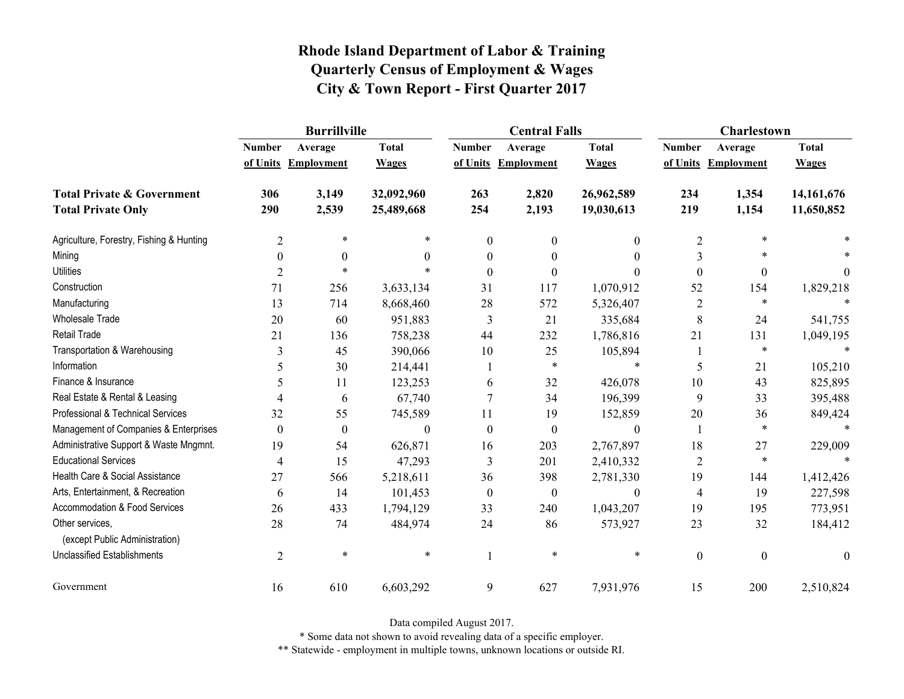|                                                   | <b>Burrillville</b> |                     |              |                  | <b>Central Falls</b> |                  | <b>Charlestown</b> |                     |              |
|---------------------------------------------------|---------------------|---------------------|--------------|------------------|----------------------|------------------|--------------------|---------------------|--------------|
|                                                   | <b>Number</b>       | Average             | <b>Total</b> | <b>Number</b>    | Average              | <b>Total</b>     | <b>Number</b>      | Average             | <b>Total</b> |
|                                                   |                     | of Units Employment | <b>Wages</b> |                  | of Units Employment  | <b>Wages</b>     |                    | of Units Employment | <b>Wages</b> |
| <b>Total Private &amp; Government</b>             | 306                 | 3,149               | 32,092,960   | 263              | 2,820                | 26,962,589       | 234                | 1,354               | 14, 161, 676 |
| <b>Total Private Only</b>                         | 290                 | 2,539               | 25,489,668   | 254              | 2,193                | 19,030,613       | 219                | 1,154               | 11,650,852   |
| Agriculture, Forestry, Fishing & Hunting          | $\overline{c}$      | $\ast$              | *            | $\mathbf{0}$     | $\boldsymbol{0}$     | $\mathbf{0}$     | $\overline{2}$     | $\ast$              |              |
| Mining                                            | $\theta$            | $\theta$            | 0            | $\theta$         | $\theta$             | $\theta$         | 3                  | $\ast$              |              |
| <b>Utilities</b>                                  | $\overline{2}$      | $\ast$              | $\ast$       | $\theta$         | $\theta$             | $\theta$         | $\boldsymbol{0}$   | $\boldsymbol{0}$    | $\theta$     |
| Construction                                      | 71                  | 256                 | 3,633,134    | 31               | 117                  | 1,070,912        | 52                 | 154                 | 1,829,218    |
| Manufacturing                                     | 13                  | 714                 | 8,668,460    | 28               | 572                  | 5,326,407        | $\overline{2}$     | $\ast$              |              |
| <b>Wholesale Trade</b>                            | 20                  | 60                  | 951,883      | 3                | 21                   | 335,684          | $\,$ 8 $\,$        | 24                  | 541,755      |
| <b>Retail Trade</b>                               | 21                  | 136                 | 758,238      | 44               | 232                  | 1,786,816        | 21                 | 131                 | 1,049,195    |
| Transportation & Warehousing                      | 3                   | 45                  | 390,066      | 10               | 25                   | 105,894          |                    | $\ast$              | $\ast$       |
| Information                                       | 5                   | 30                  | 214,441      |                  | $\ast$               | $\ast$           | 5                  | 21                  | 105,210      |
| Finance & Insurance                               | 5                   | 11                  | 123,253      | 6                | 32                   | 426,078          | 10                 | 43                  | 825,895      |
| Real Estate & Rental & Leasing                    | 4                   | 6                   | 67,740       |                  | 34                   | 196,399          | 9                  | 33                  | 395,488      |
| Professional & Technical Services                 | 32                  | 55                  | 745,589      | 11               | 19                   | 152,859          | $20\,$             | 36                  | 849,424      |
| Management of Companies & Enterprises             | $\theta$            | $\boldsymbol{0}$    | $\theta$     | $\theta$         | $\boldsymbol{0}$     | $\theta$         | 1                  | $\ast$              | $\ast$       |
| Administrative Support & Waste Mngmnt.            | 19                  | 54                  | 626,871      | 16               | 203                  | 2,767,897        | 18                 | 27                  | 229,009      |
| <b>Educational Services</b>                       | 4                   | 15                  | 47,293       | 3                | 201                  | 2,410,332        | $\overline{2}$     | $\ast$              |              |
| Health Care & Social Assistance                   | 27                  | 566                 | 5,218,611    | 36               | 398                  | 2,781,330        | 19                 | 144                 | 1,412,426    |
| Arts, Entertainment, & Recreation                 | 6                   | 14                  | 101,453      | $\boldsymbol{0}$ | $\boldsymbol{0}$     | $\boldsymbol{0}$ | $\overline{4}$     | 19                  | 227,598      |
| Accommodation & Food Services                     | 26                  | 433                 | 1,794,129    | 33               | 240                  | 1,043,207        | 19                 | 195                 | 773,951      |
| Other services,<br>(except Public Administration) | 28                  | 74                  | 484,974      | 24               | 86                   | 573,927          | 23                 | 32                  | 184,412      |
| <b>Unclassified Establishments</b>                | $\overline{2}$      | $\ast$              | $\ast$       | $\mathbf{1}$     | $\ast$               | $\ast$           | $\boldsymbol{0}$   | $\boldsymbol{0}$    | $\mathbf{0}$ |
| Government                                        | 16                  | 610                 | 6,603,292    | 9                | 627                  | 7,931,976        | 15                 | 200                 | 2,510,824    |

Data compiled August 2017.

\* Some data not shown to avoid revealing data of a specific employer.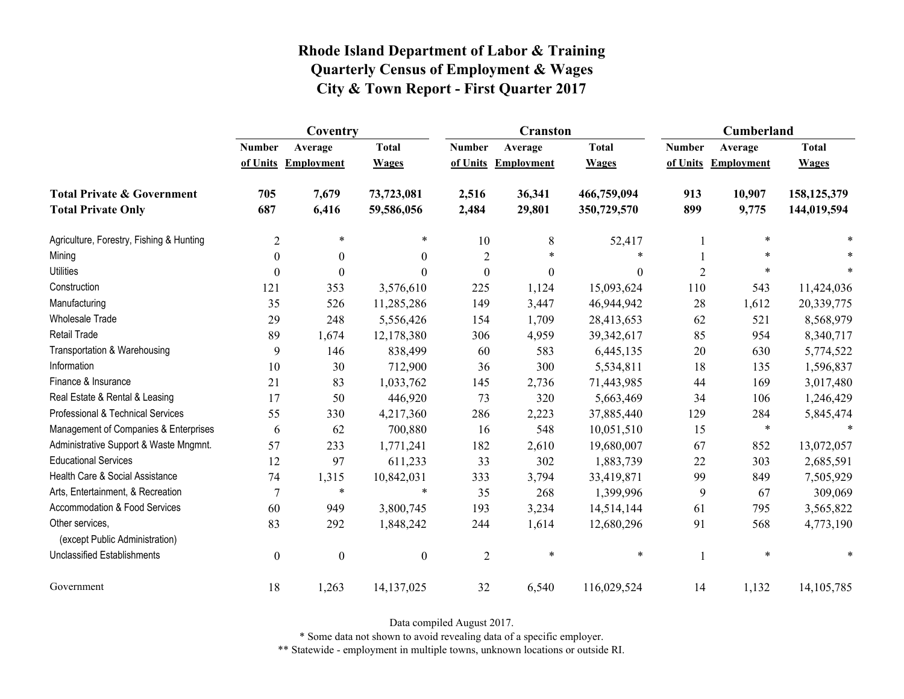|                                                   | Coventry         |                     |                  |                  | <b>Cranston</b>     |                  | <b>Cumberland</b> |                     |              |
|---------------------------------------------------|------------------|---------------------|------------------|------------------|---------------------|------------------|-------------------|---------------------|--------------|
|                                                   | <b>Number</b>    | Average             | <b>Total</b>     | <b>Number</b>    | Average             | <b>Total</b>     | <b>Number</b>     | Average             | <b>Total</b> |
|                                                   |                  | of Units Employment | <b>Wages</b>     |                  | of Units Employment | <b>Wages</b>     |                   | of Units Employment | <b>Wages</b> |
| <b>Total Private &amp; Government</b>             | 705              | 7,679               | 73,723,081       | 2,516            | 36,341              | 466,759,094      | 913               | 10,907              | 158,125,379  |
| <b>Total Private Only</b>                         | 687              | 6,416               | 59,586,056       | 2,484            | 29,801              | 350,729,570      | 899               | 9,775               | 144,019,594  |
| Agriculture, Forestry, Fishing & Hunting          | $\overline{2}$   | $\ast$              | $\ast$           | 10               | $8\,$               | 52,417           |                   | $\ast$              |              |
| Mining                                            | $\theta$         | $\theta$            | $\theta$         | $\overline{2}$   | $\ast$              | *                |                   | $\ast$              |              |
| <b>Utilities</b>                                  | $\boldsymbol{0}$ | $\theta$            | $\theta$         | $\boldsymbol{0}$ | $\boldsymbol{0}$    | $\boldsymbol{0}$ | $\overline{2}$    | $\ast$              |              |
| Construction                                      | 121              | 353                 | 3,576,610        | 225              | 1,124               | 15,093,624       | 110               | 543                 | 11,424,036   |
| Manufacturing                                     | 35               | 526                 | 11,285,286       | 149              | 3,447               | 46,944,942       | 28                | 1,612               | 20,339,775   |
| <b>Wholesale Trade</b>                            | 29               | 248                 | 5,556,426        | 154              | 1,709               | 28,413,653       | 62                | 521                 | 8,568,979    |
| <b>Retail Trade</b>                               | 89               | 1,674               | 12,178,380       | 306              | 4,959               | 39,342,617       | 85                | 954                 | 8,340,717    |
| Transportation & Warehousing                      | 9                | 146                 | 838,499          | 60               | 583                 | 6,445,135        | 20                | 630                 | 5,774,522    |
| Information                                       | 10               | 30                  | 712,900          | 36               | 300                 | 5,534,811        | 18                | 135                 | 1,596,837    |
| Finance & Insurance                               | 21               | 83                  | 1,033,762        | 145              | 2,736               | 71,443,985       | 44                | 169                 | 3,017,480    |
| Real Estate & Rental & Leasing                    | 17               | 50                  | 446,920          | 73               | 320                 | 5,663,469        | 34                | 106                 | 1,246,429    |
| Professional & Technical Services                 | 55               | 330                 | 4,217,360        | 286              | 2,223               | 37,885,440       | 129               | 284                 | 5,845,474    |
| Management of Companies & Enterprises             | 6                | 62                  | 700,880          | 16               | 548                 | 10,051,510       | 15                | $\ast$              | $\ast$       |
| Administrative Support & Waste Mngmnt.            | 57               | 233                 | 1,771,241        | 182              | 2,610               | 19,680,007       | 67                | 852                 | 13,072,057   |
| <b>Educational Services</b>                       | 12               | 97                  | 611,233          | 33               | 302                 | 1,883,739        | 22                | 303                 | 2,685,591    |
| Health Care & Social Assistance                   | 74               | 1,315               | 10,842,031       | 333              | 3,794               | 33,419,871       | 99                | 849                 | 7,505,929    |
| Arts, Entertainment, & Recreation                 | $\overline{7}$   | $\ast$              | $\ast$           | 35               | 268                 | 1,399,996        | 9                 | 67                  | 309,069      |
| Accommodation & Food Services                     | 60               | 949                 | 3,800,745        | 193              | 3,234               | 14,514,144       | 61                | 795                 | 3,565,822    |
| Other services,<br>(except Public Administration) | 83               | 292                 | 1,848,242        | 244              | 1,614               | 12,680,296       | 91                | 568                 | 4,773,190    |
| <b>Unclassified Establishments</b>                | $\boldsymbol{0}$ | $\boldsymbol{0}$    | $\boldsymbol{0}$ | $\overline{2}$   | $\ast$              | $\ast$           |                   | $\ast$              | *            |
| Government                                        | 18               | 1,263               | 14, 137, 025     | 32               | 6,540               | 116,029,524      | 14                | 1,132               | 14, 105, 785 |

Data compiled August 2017.

\* Some data not shown to avoid revealing data of a specific employer.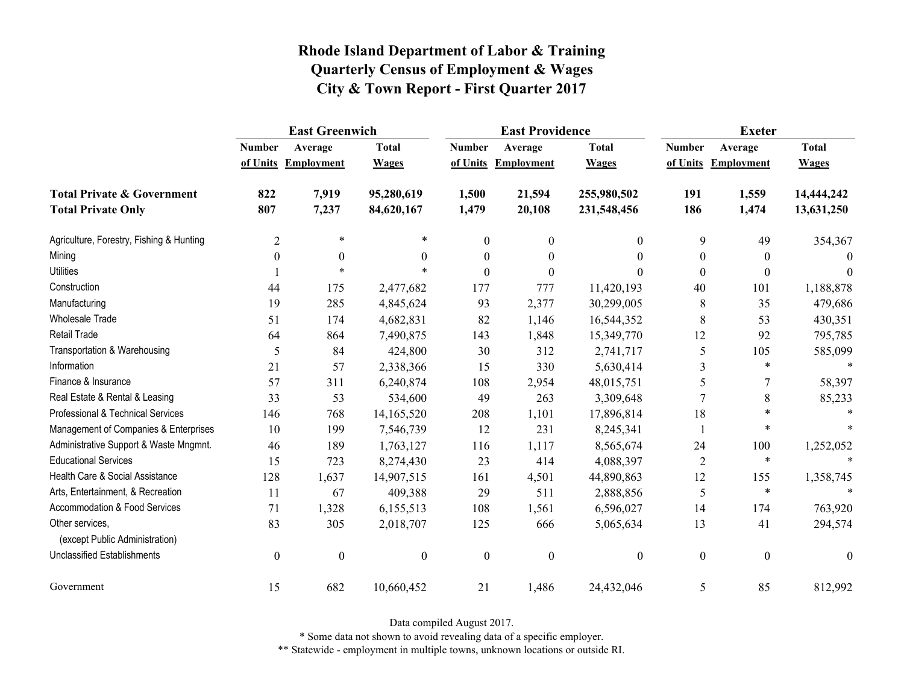|                                                   | <b>East Greenwich</b> |                     |                  |                  | <b>East Providence</b> |                  | <b>Exeter</b>    |                     |              |
|---------------------------------------------------|-----------------------|---------------------|------------------|------------------|------------------------|------------------|------------------|---------------------|--------------|
|                                                   | <b>Number</b>         | Average             | <b>Total</b>     | <b>Number</b>    | Average                | <b>Total</b>     | <b>Number</b>    | Average             | <b>Total</b> |
|                                                   |                       | of Units Employment | <b>Wages</b>     |                  | of Units Employment    | <b>Wages</b>     |                  | of Units Employment | <b>Wages</b> |
| <b>Total Private &amp; Government</b>             | 822                   | 7,919               | 95,280,619       | 1,500            | 21,594                 | 255,980,502      | 191              | 1,559               | 14,444,242   |
| <b>Total Private Only</b>                         | 807                   | 7,237               | 84,620,167       | 1,479            | 20,108                 | 231,548,456      | 186              | 1,474               | 13,631,250   |
| Agriculture, Forestry, Fishing & Hunting          | $\overline{2}$        | $\ast$              | $\ast$           | $\mathbf{0}$     | $\boldsymbol{0}$       | $\overline{0}$   | 9                | 49                  | 354,367      |
| Mining                                            | $\boldsymbol{0}$      | $\boldsymbol{0}$    | $\theta$         | $\boldsymbol{0}$ | $\boldsymbol{0}$       | $\theta$         | $\boldsymbol{0}$ | $\theta$            | $\Omega$     |
| <b>Utilities</b>                                  |                       | $\ast$              |                  | $\theta$         | $\theta$               | 0                | $\boldsymbol{0}$ | $\theta$            | $\theta$     |
| Construction                                      | 44                    | 175                 | 2,477,682        | 177              | 777                    | 11,420,193       | 40               | 101                 | 1,188,878    |
| Manufacturing                                     | 19                    | 285                 | 4,845,624        | 93               | 2,377                  | 30,299,005       | 8                | 35                  | 479,686      |
| <b>Wholesale Trade</b>                            | 51                    | 174                 | 4,682,831        | 82               | 1,146                  | 16,544,352       | 8                | 53                  | 430,351      |
| <b>Retail Trade</b>                               | 64                    | 864                 | 7,490,875        | 143              | 1,848                  | 15,349,770       | 12               | 92                  | 795,785      |
| Transportation & Warehousing                      | 5                     | 84                  | 424,800          | 30               | 312                    | 2,741,717        | 5                | 105                 | 585,099      |
| Information                                       | 21                    | 57                  | 2,338,366        | 15               | 330                    | 5,630,414        | 3                | $\ast$              |              |
| Finance & Insurance                               | 57                    | 311                 | 6,240,874        | 108              | 2,954                  | 48,015,751       | 5                | 7                   | 58,397       |
| Real Estate & Rental & Leasing                    | 33                    | 53                  | 534,600          | 49               | 263                    | 3,309,648        |                  | 8                   | 85,233       |
| Professional & Technical Services                 | 146                   | 768                 | 14,165,520       | 208              | 1,101                  | 17,896,814       | 18               | $\ast$              |              |
| Management of Companies & Enterprises             | 10                    | 199                 | 7,546,739        | 12               | 231                    | 8,245,341        |                  | $\ast$              |              |
| Administrative Support & Waste Mngmnt.            | 46                    | 189                 | 1,763,127        | 116              | 1,117                  | 8,565,674        | 24               | 100                 | 1,252,052    |
| <b>Educational Services</b>                       | 15                    | 723                 | 8,274,430        | 23               | 414                    | 4,088,397        | $\overline{2}$   | $\ast$              |              |
| Health Care & Social Assistance                   | 128                   | 1,637               | 14,907,515       | 161              | 4,501                  | 44,890,863       | 12               | 155                 | 1,358,745    |
| Arts, Entertainment, & Recreation                 | 11                    | 67                  | 409,388          | 29               | 511                    | 2,888,856        | 5                | $\ast$              | $\ast$       |
| <b>Accommodation &amp; Food Services</b>          | 71                    | 1,328               | 6,155,513        | 108              | 1,561                  | 6,596,027        | 14               | 174                 | 763,920      |
| Other services,<br>(except Public Administration) | 83                    | 305                 | 2,018,707        | 125              | 666                    | 5,065,634        | 13               | 41                  | 294,574      |
| <b>Unclassified Establishments</b>                | $\boldsymbol{0}$      | $\boldsymbol{0}$    | $\boldsymbol{0}$ | $\boldsymbol{0}$ | $\boldsymbol{0}$       | $\boldsymbol{0}$ | $\boldsymbol{0}$ | $\boldsymbol{0}$    | $\theta$     |
| Government                                        | 15                    | 682                 | 10,660,452       | 21               | 1,486                  | 24,432,046       | 5                | 85                  | 812,992      |

Data compiled August 2017.

\* Some data not shown to avoid revealing data of a specific employer.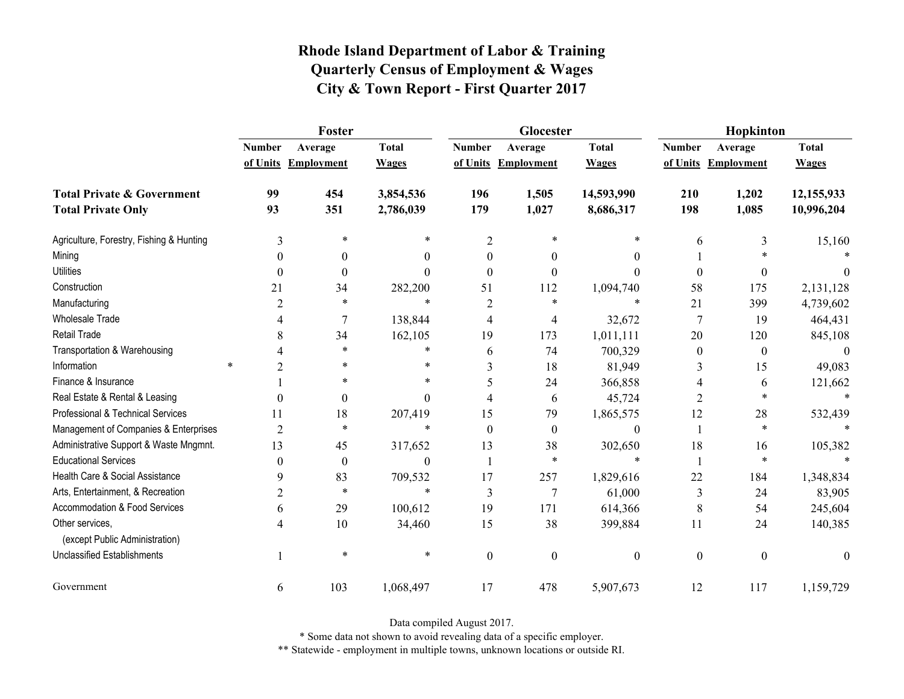|                                                   | Foster         |                     |              |                  | Glocester           |                  | Hopkinton        |                     |              |  |
|---------------------------------------------------|----------------|---------------------|--------------|------------------|---------------------|------------------|------------------|---------------------|--------------|--|
|                                                   | <b>Number</b>  | Average             | <b>Total</b> | <b>Number</b>    | Average             | <b>Total</b>     | <b>Number</b>    | Average             | <b>Total</b> |  |
|                                                   |                | of Units Employment | <b>Wages</b> |                  | of Units Employment | <b>Wages</b>     |                  | of Units Employment | <b>Wages</b> |  |
| <b>Total Private &amp; Government</b>             | 99             | 454                 | 3,854,536    | 196              | 1,505               | 14,593,990       | 210              | 1,202               | 12,155,933   |  |
| <b>Total Private Only</b>                         | 93             | 351                 | 2,786,039    | 179              | 1,027               | 8,686,317        | 198              | 1,085               | 10,996,204   |  |
| Agriculture, Forestry, Fishing & Hunting          | 3              | *                   | *            | $\overline{2}$   | 米                   | *                | 6                | 3                   | 15,160       |  |
| Mining                                            | $\theta$       | $\theta$            | 0            | $\theta$         | $\theta$            | $\theta$         |                  |                     |              |  |
| <b>Utilities</b>                                  | $\theta$       | $\boldsymbol{0}$    | $\Omega$     | $\Omega$         | $\theta$            | $\theta$         | $\boldsymbol{0}$ | 0                   | $\theta$     |  |
| Construction                                      | 21             | 34                  | 282,200      | 51               | 112                 | 1,094,740        | 58               | 175                 | 2,131,128    |  |
| Manufacturing                                     | 2              | *                   | $\ast$       | $\overline{2}$   | *                   | $\ast$           | 21               | 399                 | 4,739,602    |  |
| <b>Wholesale Trade</b>                            |                | 7                   | 138,844      | 4                | 4                   | 32,672           | $\tau$           | 19                  | 464,431      |  |
| Retail Trade                                      | 8              | 34                  | 162,105      | 19               | 173                 | 1,011,111        | 20               | 120                 | 845,108      |  |
| Transportation & Warehousing                      |                | $\ast$              | *            | 6                | 74                  | 700,329          | $\boldsymbol{0}$ | $\boldsymbol{0}$    | $\theta$     |  |
| Information                                       | $\ast$<br>2    | *                   | *            | 3                | 18                  | 81,949           | 3                | 15                  | 49,083       |  |
| Finance & Insurance                               |                | $\ast$              | $\ast$       | 5                | 24                  | 366,858          | 4                | 6                   | 121,662      |  |
| Real Estate & Rental & Leasing                    | $\Omega$       | $\boldsymbol{0}$    | $\Omega$     | 4                | 6                   | 45,724           | 2                | *                   |              |  |
| Professional & Technical Services                 | 11             | 18                  | 207,419      | 15               | 79                  | 1,865,575        | 12               | 28                  | 532,439      |  |
| Management of Companies & Enterprises             | $\overline{2}$ | $\ast$              | $\ast$       | $\theta$         | $\boldsymbol{0}$    | $\boldsymbol{0}$ |                  | $\ast$              | $\ast$       |  |
| Administrative Support & Waste Mngmnt.            | 13             | 45                  | 317,652      | 13               | 38                  | 302,650          | 18               | 16                  | 105,382      |  |
| <b>Educational Services</b>                       | $\theta$       | $\boldsymbol{0}$    | $\theta$     |                  | $\ast$              | $\ast$           | $\mathbf{1}$     | $\ast$              |              |  |
| Health Care & Social Assistance                   | 9              | 83                  | 709,532      | 17               | 257                 | 1,829,616        | 22               | 184                 | 1,348,834    |  |
| Arts, Entertainment, & Recreation                 | $\overline{2}$ | $\ast$              | $\ast$       | 3                | $\overline{7}$      | 61,000           | 3                | 24                  | 83,905       |  |
| Accommodation & Food Services                     | 6              | 29                  | 100,612      | 19               | 171                 | 614,366          | 8                | 54                  | 245,604      |  |
| Other services,<br>(except Public Administration) | 4              | 10                  | 34,460       | 15               | 38                  | 399,884          | 11               | 24                  | 140,385      |  |
|                                                   |                | $\ast$              | $\ast$       |                  |                     |                  |                  |                     |              |  |
| <b>Unclassified Establishments</b>                |                |                     |              | $\boldsymbol{0}$ | $\mathbf{0}$        | $\boldsymbol{0}$ | $\boldsymbol{0}$ | $\boldsymbol{0}$    | $\mathbf{0}$ |  |
| Government                                        | 6              | 103                 | 1,068,497    | 17               | 478                 | 5,907,673        | 12               | 117                 | 1,159,729    |  |

Data compiled August 2017.

\* Some data not shown to avoid revealing data of a specific employer.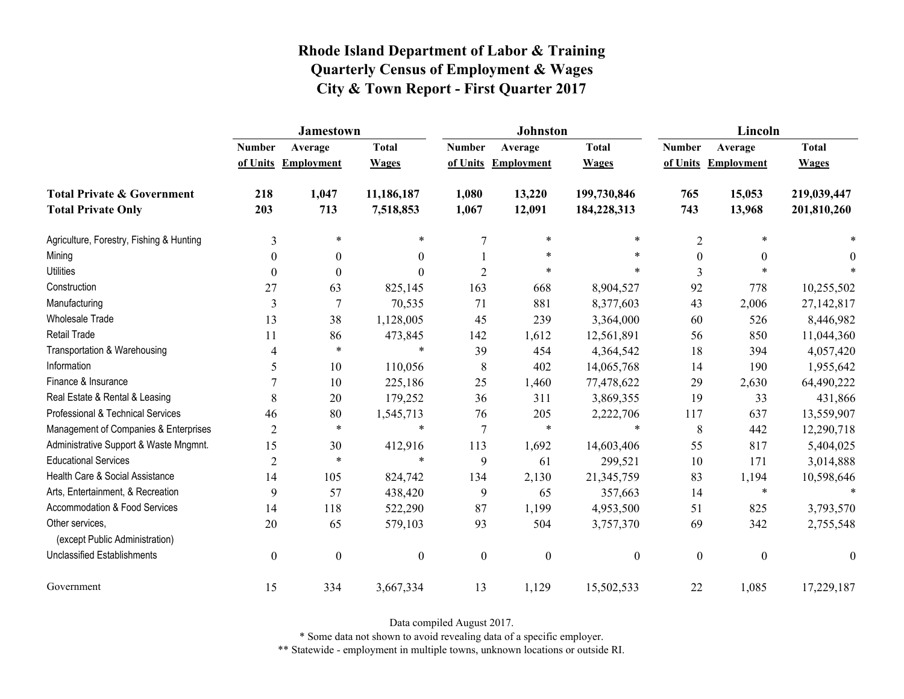|                                                   | <b>Jamestown</b> |                     |                  |                  | <b>Johnston</b>   |                  | Lincoln          |                     |                  |
|---------------------------------------------------|------------------|---------------------|------------------|------------------|-------------------|------------------|------------------|---------------------|------------------|
|                                                   | <b>Number</b>    | Average             | <b>Total</b>     | <b>Number</b>    | Average           | <b>Total</b>     | <b>Number</b>    | Average             | <b>Total</b>     |
|                                                   |                  | of Units Employment | <b>Wages</b>     | of Units         | <b>Employment</b> | <b>Wages</b>     |                  | of Units Employment | <b>Wages</b>     |
| <b>Total Private &amp; Government</b>             | 218              | 1,047               | 11,186,187       | 1,080            | 13,220            | 199,730,846      | 765              | 15,053              | 219,039,447      |
| <b>Total Private Only</b>                         | 203              | 713                 | 7,518,853        | 1,067            | 12,091            | 184,228,313      | 743              | 13,968              | 201,810,260      |
| Agriculture, Forestry, Fishing & Hunting          | 3                | $\ast$              | $\ast$           | 7                | $\ast$            | *                | $\overline{2}$   |                     |                  |
| Mining                                            | $\theta$         | $\mathbf{0}$        | $\boldsymbol{0}$ |                  | $\ast$            | $\ast$           | $\mathbf{0}$     | $\mathbf{0}$        | 0                |
| <b>Utilities</b>                                  | $\theta$         | $\Omega$            | $\Omega$         | $\overline{2}$   | *                 | $\ast$           | 3                |                     |                  |
| Construction                                      | 27               | 63                  | 825,145          | 163              | 668               | 8,904,527        | 92               | 778                 | 10,255,502       |
| Manufacturing                                     | 3                | 7                   | 70,535           | 71               | 881               | 8,377,603        | 43               | 2,006               | 27,142,817       |
| <b>Wholesale Trade</b>                            | 13               | 38                  | 1,128,005        | 45               | 239               | 3,364,000        | 60               | 526                 | 8,446,982        |
| Retail Trade                                      | 11               | 86                  | 473,845          | 142              | 1,612             | 12,561,891       | 56               | 850                 | 11,044,360       |
| Transportation & Warehousing                      | 4                | $\ast$              | $\ast$           | 39               | 454               | 4,364,542        | 18               | 394                 | 4,057,420        |
| Information                                       | 5                | 10                  | 110,056          | 8                | 402               | 14,065,768       | 14               | 190                 | 1,955,642        |
| Finance & Insurance                               |                  | 10                  | 225,186          | 25               | 1,460             | 77,478,622       | 29               | 2,630               | 64,490,222       |
| Real Estate & Rental & Leasing                    | 8                | 20                  | 179,252          | 36               | 311               | 3,869,355        | 19               | 33                  | 431,866          |
| Professional & Technical Services                 | 46               | 80                  | 1,545,713        | 76               | 205               | 2,222,706        | 117              | 637                 | 13,559,907       |
| Management of Companies & Enterprises             | $\overline{2}$   | $\ast$              | $\ast$           | $\overline{7}$   | $\ast$            | $\ast$           | 8                | 442                 | 12,290,718       |
| Administrative Support & Waste Mngmnt.            | 15               | 30                  | 412,916          | 113              | 1,692             | 14,603,406       | 55               | 817                 | 5,404,025        |
| <b>Educational Services</b>                       | $\overline{2}$   | $\ast$              | $\ast$           | 9                | 61                | 299,521          | 10               | 171                 | 3,014,888        |
| Health Care & Social Assistance                   | 14               | 105                 | 824,742          | 134              | 2,130             | 21,345,759       | 83               | 1,194               | 10,598,646       |
| Arts, Entertainment, & Recreation                 | 9                | 57                  | 438,420          | 9                | 65                | 357,663          | 14               | $\ast$              | $\ast$           |
| <b>Accommodation &amp; Food Services</b>          | 14               | 118                 | 522,290          | 87               | 1,199             | 4,953,500        | 51               | 825                 | 3,793,570        |
| Other services,<br>(except Public Administration) | 20               | 65                  | 579,103          | 93               | 504               | 3,757,370        | 69               | 342                 | 2,755,548        |
| <b>Unclassified Establishments</b>                | $\boldsymbol{0}$ | $\boldsymbol{0}$    | $\boldsymbol{0}$ | $\boldsymbol{0}$ | $\boldsymbol{0}$  | $\boldsymbol{0}$ | $\boldsymbol{0}$ | $\boldsymbol{0}$    | $\boldsymbol{0}$ |
| Government                                        | 15               | 334                 | 3,667,334        | 13               | 1,129             | 15,502,533       | 22               | 1,085               | 17,229,187       |

Data compiled August 2017.

\* Some data not shown to avoid revealing data of a specific employer.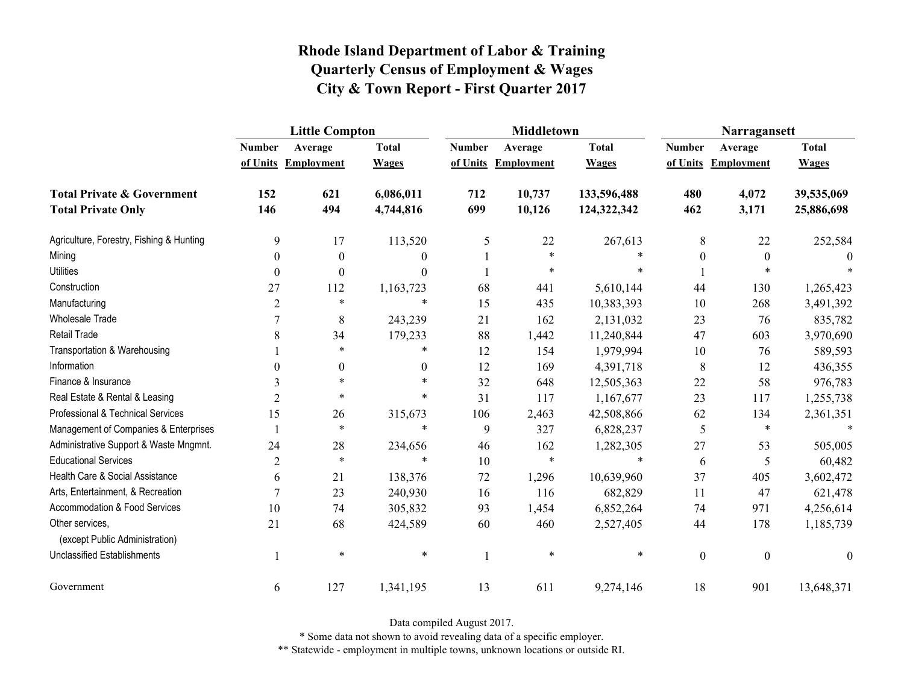|                                                   | <b>Little Compton</b> |                  |              |               | <b>Middletown</b>   |              | Narragansett     |                     |              |
|---------------------------------------------------|-----------------------|------------------|--------------|---------------|---------------------|--------------|------------------|---------------------|--------------|
|                                                   | <b>Number</b>         | Average          | <b>Total</b> | <b>Number</b> | Average             | <b>Total</b> | <b>Number</b>    | Average             | <b>Total</b> |
|                                                   | of Units              | Employment       | <b>Wages</b> |               | of Units Employment | <b>Wages</b> |                  | of Units Employment | <b>Wages</b> |
| <b>Total Private &amp; Government</b>             | 152                   | 621              | 6,086,011    | 712           | 10,737              | 133,596,488  | 480              | 4,072               | 39,535,069   |
| <b>Total Private Only</b>                         | 146                   | 494              | 4,744,816    | 699           | 10,126              | 124,322,342  | 462              | 3,171               | 25,886,698   |
| Agriculture, Forestry, Fishing & Hunting          | 9                     | 17               | 113,520      | 5             | 22                  | 267,613      | 8                | 22                  | 252,584      |
| Mining                                            | $\theta$              | $\theta$         | $\theta$     |               | $\ast$              |              | $\theta$         | $\boldsymbol{0}$    |              |
| <b>Utilities</b>                                  | $\theta$              | $\boldsymbol{0}$ | $\theta$     |               | $\ast$              |              |                  | $\ast$              |              |
| Construction                                      | 27                    | 112              | 1,163,723    | 68            | 441                 | 5,610,144    | 44               | 130                 | 1,265,423    |
| Manufacturing                                     | 2                     | $\ast$           | $\ast$       | 15            | 435                 | 10,383,393   | 10               | 268                 | 3,491,392    |
| <b>Wholesale Trade</b>                            |                       | 8                | 243,239      | 21            | 162                 | 2,131,032    | 23               | 76                  | 835,782      |
| Retail Trade                                      | 8                     | 34               | 179,233      | 88            | 1,442               | 11,240,844   | 47               | 603                 | 3,970,690    |
| Transportation & Warehousing                      |                       | $\ast$           | $\ast$       | 12            | 154                 | 1,979,994    | 10               | 76                  | 589,593      |
| Information                                       | 0                     | 0                | $\mathbf{0}$ | 12            | 169                 | 4,391,718    | 8                | 12                  | 436,355      |
| Finance & Insurance                               | 3                     | $\ast$           | $\ast$       | 32            | 648                 | 12,505,363   | 22               | 58                  | 976,783      |
| Real Estate & Rental & Leasing                    | $\overline{2}$        | $\ast$           | $\ast$       | 31            | 117                 | 1,167,677    | 23               | 117                 | 1,255,738    |
| Professional & Technical Services                 | 15                    | 26               | 315,673      | 106           | 2,463               | 42,508,866   | 62               | 134                 | 2,361,351    |
| Management of Companies & Enterprises             |                       | $\ast$           | $\ast$       | 9             | 327                 | 6,828,237    | 5                | $\ast$              |              |
| Administrative Support & Waste Mngmnt.            | 24                    | 28               | 234,656      | 46            | 162                 | 1,282,305    | 27               | 53                  | 505,005      |
| <b>Educational Services</b>                       | $\overline{2}$        | $\ast$           | $\ast$       | 10            | $\ast$              | $\ast$       | 6                | 5                   | 60,482       |
| Health Care & Social Assistance                   | 6                     | 21               | 138,376      | 72            | 1,296               | 10,639,960   | 37               | 405                 | 3,602,472    |
| Arts, Entertainment, & Recreation                 | $\overline{7}$        | 23               | 240,930      | 16            | 116                 | 682,829      | 11               | 47                  | 621,478      |
| Accommodation & Food Services                     | 10                    | 74               | 305,832      | 93            | 1,454               | 6,852,264    | 74               | 971                 | 4,256,614    |
| Other services.<br>(except Public Administration) | 21                    | 68               | 424,589      | 60            | 460                 | 2,527,405    | 44               | 178                 | 1,185,739    |
| <b>Unclassified Establishments</b>                |                       | $\ast$           | $\ast$       |               | $\ast$              | $\ast$       | $\boldsymbol{0}$ | $\boldsymbol{0}$    | $\theta$     |
| Government                                        | 6                     | 127              | 1,341,195    | 13            | 611                 | 9,274,146    | 18               | 901                 | 13,648,371   |

Data compiled August 2017.

\* Some data not shown to avoid revealing data of a specific employer.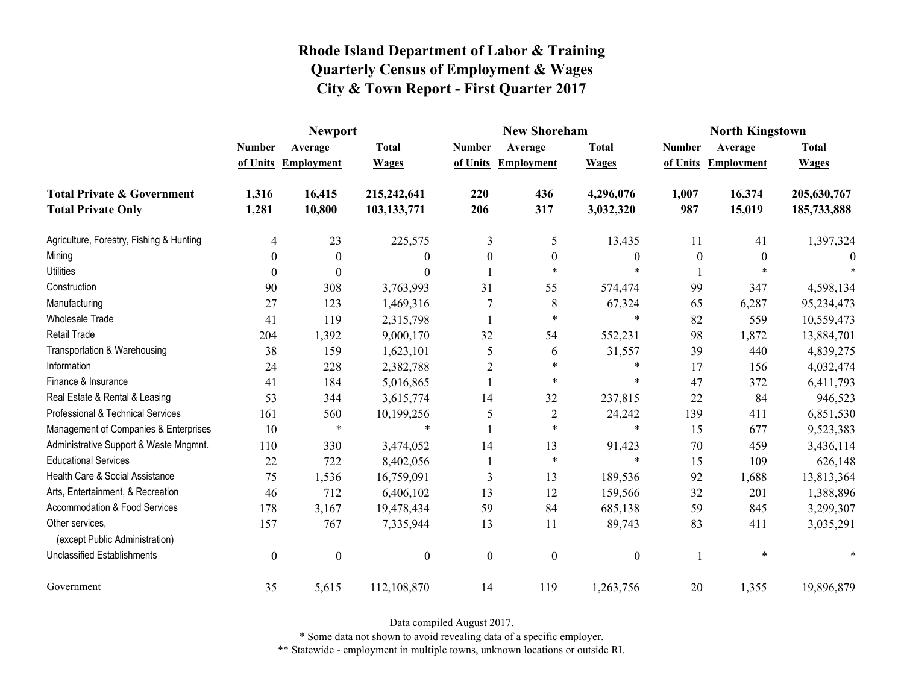|                                                   | <b>Newport</b>   |                     |                  |                  | <b>New Shoreham</b> |                  | <b>North Kingstown</b> |                     |              |  |
|---------------------------------------------------|------------------|---------------------|------------------|------------------|---------------------|------------------|------------------------|---------------------|--------------|--|
|                                                   | <b>Number</b>    | Average             | <b>Total</b>     | <b>Number</b>    | Average             | <b>Total</b>     | <b>Number</b>          | Average             | <b>Total</b> |  |
|                                                   |                  | of Units Employment | <b>Wages</b>     |                  | of Units Employment | <b>Wages</b>     |                        | of Units Employment | <b>Wages</b> |  |
| <b>Total Private &amp; Government</b>             | 1,316            | 16,415              | 215,242,641      | 220              | 436                 | 4,296,076        | 1,007                  | 16,374              | 205,630,767  |  |
| <b>Total Private Only</b>                         | 1,281            | 10,800              | 103,133,771      | 206              | 317                 | 3,032,320        | 987                    | 15,019              | 185,733,888  |  |
| Agriculture, Forestry, Fishing & Hunting          | 4                | 23                  | 225,575          | 3                | 5                   | 13,435           | 11                     | 41                  | 1,397,324    |  |
| Mining                                            | 0                | $\theta$            | 0                | $\mathbf{0}$     | $\theta$            | $\theta$         | $\theta$               | $\theta$            |              |  |
| <b>Utilities</b>                                  | $\theta$         | $\theta$            | 0                |                  | $\ast$              | $\ast$           |                        | $\ast$              |              |  |
| Construction                                      | 90               | 308                 | 3,763,993        | 31               | 55                  | 574,474          | 99                     | 347                 | 4,598,134    |  |
| Manufacturing                                     | 27               | 123                 | 1,469,316        | 7                | 8                   | 67,324           | 65                     | 6,287               | 95,234,473   |  |
| Wholesale Trade                                   | 41               | 119                 | 2,315,798        |                  | $\ast$              | $\ast$           | 82                     | 559                 | 10,559,473   |  |
| <b>Retail Trade</b>                               | 204              | 1,392               | 9,000,170        | 32               | 54                  | 552,231          | 98                     | 1,872               | 13,884,701   |  |
| Transportation & Warehousing                      | 38               | 159                 | 1,623,101        | 5                | 6                   | 31,557           | 39                     | 440                 | 4,839,275    |  |
| Information                                       | 24               | 228                 | 2,382,788        | $\overline{2}$   | $\ast$              | $\ast$           | 17                     | 156                 | 4,032,474    |  |
| Finance & Insurance                               | 41               | 184                 | 5,016,865        |                  | $\ast$              | $\ast$           | 47                     | 372                 | 6,411,793    |  |
| Real Estate & Rental & Leasing                    | 53               | 344                 | 3,615,774        | 14               | 32                  | 237,815          | 22                     | 84                  | 946,523      |  |
| Professional & Technical Services                 | 161              | 560                 | 10,199,256       | 5                | $\overline{2}$      | 24,242           | 139                    | 411                 | 6,851,530    |  |
| Management of Companies & Enterprises             | 10               | $\ast$              | $\ast$           |                  | $\ast$              | $\ast$           | 15                     | 677                 | 9,523,383    |  |
| Administrative Support & Waste Mngmnt.            | 110              | 330                 | 3,474,052        | 14               | 13                  | 91,423           | 70                     | 459                 | 3,436,114    |  |
| <b>Educational Services</b>                       | 22               | 722                 | 8,402,056        |                  | $\ast$              | $\ast$           | 15                     | 109                 | 626,148      |  |
| Health Care & Social Assistance                   | 75               | 1,536               | 16,759,091       | 3                | 13                  | 189,536          | 92                     | 1,688               | 13,813,364   |  |
| Arts, Entertainment, & Recreation                 | 46               | 712                 | 6,406,102        | 13               | 12                  | 159,566          | 32                     | 201                 | 1,388,896    |  |
| Accommodation & Food Services                     | 178              | 3,167               | 19,478,434       | 59               | 84                  | 685,138          | 59                     | 845                 | 3,299,307    |  |
| Other services,<br>(except Public Administration) | 157              | 767                 | 7,335,944        | 13               | 11                  | 89,743           | 83                     | 411                 | 3,035,291    |  |
| <b>Unclassified Establishments</b>                | $\boldsymbol{0}$ | $\boldsymbol{0}$    | $\boldsymbol{0}$ | $\boldsymbol{0}$ | $\boldsymbol{0}$    | $\boldsymbol{0}$ |                        | $\ast$              |              |  |
| Government                                        | 35               | 5,615               | 112,108,870      | 14               | 119                 | 1,263,756        | 20                     | 1,355               | 19,896,879   |  |

Data compiled August 2017.

\* Some data not shown to avoid revealing data of a specific employer.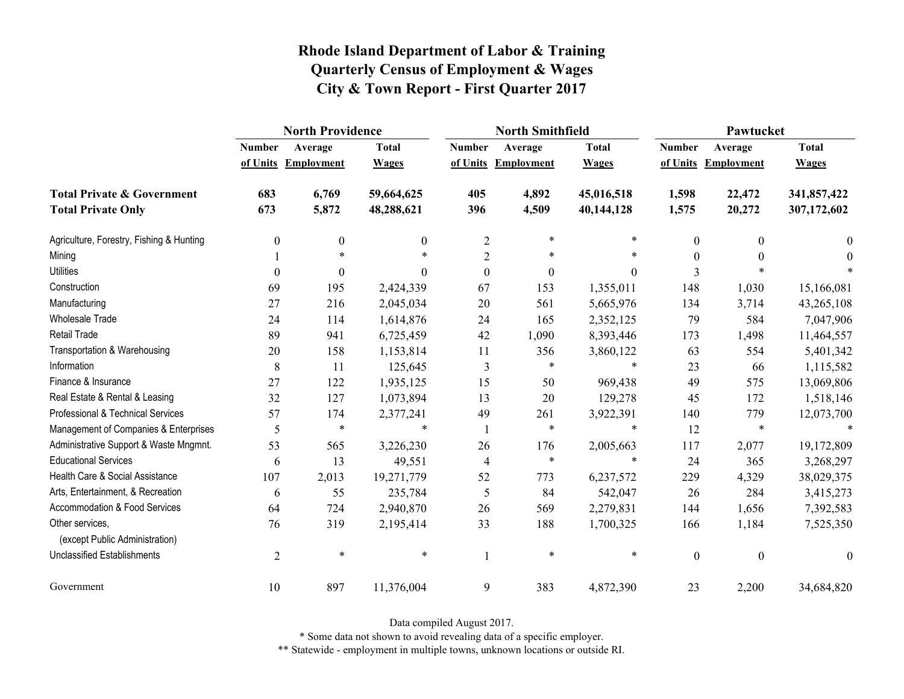|                                                   | <b>North Providence</b> |                     |              |                  | <b>North Smithfield</b> |              | Pawtucket        |                     |                  |
|---------------------------------------------------|-------------------------|---------------------|--------------|------------------|-------------------------|--------------|------------------|---------------------|------------------|
|                                                   | <b>Number</b>           | Average             | <b>Total</b> | <b>Number</b>    | Average                 | <b>Total</b> | <b>Number</b>    | Average             | <b>Total</b>     |
|                                                   |                         | of Units Employment | <b>Wages</b> |                  | of Units Employment     | <b>Wages</b> |                  | of Units Employment | <b>Wages</b>     |
| <b>Total Private &amp; Government</b>             | 683                     | 6,769               | 59,664,625   | 405              | 4,892                   | 45,016,518   | 1,598            | 22,472              | 341,857,422      |
| <b>Total Private Only</b>                         | 673                     | 5,872               | 48,288,621   | 396              | 4,509                   | 40,144,128   | 1,575            | 20,272              | 307,172,602      |
| Agriculture, Forestry, Fishing & Hunting          | $\boldsymbol{0}$        | 0                   | $\mathbf{0}$ | $\overline{2}$   | $\ast$                  | $\ast$       | 0                | $\theta$            | $\bf{0}$         |
| Mining                                            |                         | $\ast$              |              | $\overline{2}$   | $\ast$                  | $\ast$       | $\theta$         | $\theta$            | $\theta$         |
| <b>Utilities</b>                                  | $\theta$                | $\theta$            | $\Omega$     | $\boldsymbol{0}$ | $\boldsymbol{0}$        | $\theta$     | 3                |                     |                  |
| Construction                                      | 69                      | 195                 | 2,424,339    | 67               | 153                     | 1,355,011    | 148              | 1,030               | 15,166,081       |
| Manufacturing                                     | 27                      | 216                 | 2,045,034    | 20               | 561                     | 5,665,976    | 134              | 3,714               | 43,265,108       |
| <b>Wholesale Trade</b>                            | 24                      | 114                 | 1,614,876    | 24               | 165                     | 2,352,125    | 79               | 584                 | 7,047,906        |
| <b>Retail Trade</b>                               | 89                      | 941                 | 6,725,459    | 42               | 1,090                   | 8,393,446    | 173              | 1,498               | 11,464,557       |
| Transportation & Warehousing                      | 20                      | 158                 | 1,153,814    | 11               | 356                     | 3,860,122    | 63               | 554                 | 5,401,342        |
| Information                                       | 8                       | 11                  | 125,645      | 3                | $\ast$                  | $\ast$       | 23               | 66                  | 1,115,582        |
| Finance & Insurance                               | 27                      | 122                 | 1,935,125    | 15               | 50                      | 969,438      | 49               | 575                 | 13,069,806       |
| Real Estate & Rental & Leasing                    | 32                      | 127                 | 1,073,894    | 13               | 20                      | 129,278      | 45               | 172                 | 1,518,146        |
| Professional & Technical Services                 | 57                      | 174                 | 2,377,241    | 49               | 261                     | 3,922,391    | 140              | 779                 | 12,073,700       |
| Management of Companies & Enterprises             | 5                       | $\ast$              | $\ast$       |                  | $\ast$                  | $\ast$       | 12               | $\ast$              | $\ast$           |
| Administrative Support & Waste Mngmnt.            | 53                      | 565                 | 3,226,230    | 26               | 176                     | 2,005,663    | 117              | 2,077               | 19,172,809       |
| <b>Educational Services</b>                       | 6                       | 13                  | 49,551       | 4                | $\ast$                  | $\ast$       | 24               | 365                 | 3,268,297        |
| Health Care & Social Assistance                   | 107                     | 2,013               | 19,271,779   | 52               | 773                     | 6,237,572    | 229              | 4,329               | 38,029,375       |
| Arts, Entertainment, & Recreation                 | 6                       | 55                  | 235,784      | 5                | 84                      | 542,047      | 26               | 284                 | 3,415,273        |
| Accommodation & Food Services                     | 64                      | 724                 | 2,940,870    | 26               | 569                     | 2,279,831    | 144              | 1,656               | 7,392,583        |
| Other services,<br>(except Public Administration) | 76                      | 319                 | 2,195,414    | 33               | 188                     | 1,700,325    | 166              | 1,184               | 7,525,350        |
| <b>Unclassified Establishments</b>                | $\overline{2}$          | $\ast$              | $\ast$       |                  | $\ast$                  | $\ast$       | $\boldsymbol{0}$ | $\boldsymbol{0}$    | $\boldsymbol{0}$ |
| Government                                        | 10                      | 897                 | 11,376,004   | 9                | 383                     | 4,872,390    | 23               | 2,200               | 34,684,820       |

Data compiled August 2017.

\* Some data not shown to avoid revealing data of a specific employer.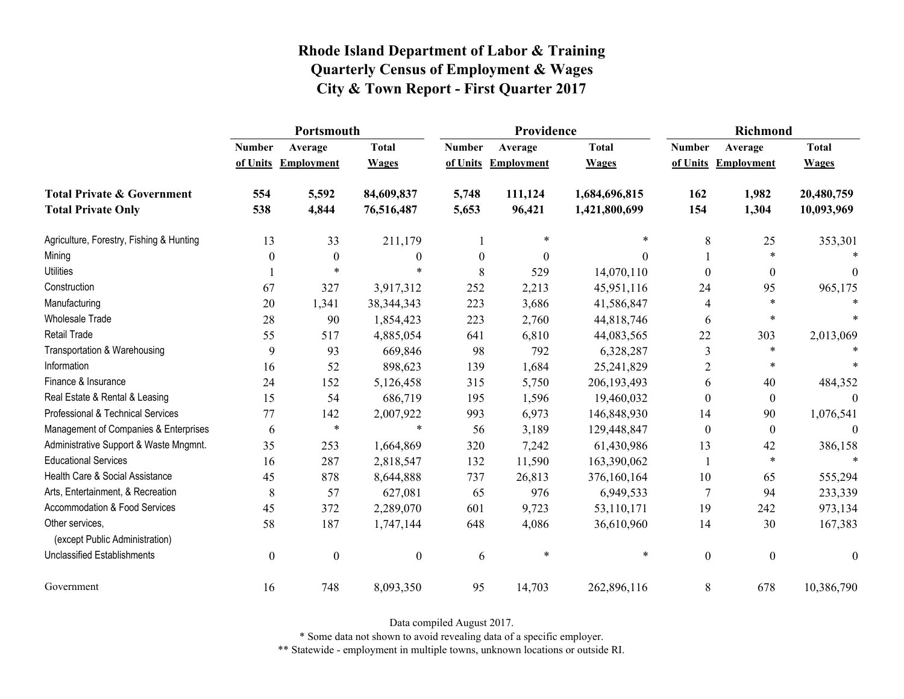|                                                   | Portsmouth       |                     |                  |                  | Providence          |               | <b>Richmond</b>  |                     |                  |
|---------------------------------------------------|------------------|---------------------|------------------|------------------|---------------------|---------------|------------------|---------------------|------------------|
|                                                   | <b>Number</b>    | Average             | <b>Total</b>     | <b>Number</b>    | Average             | <b>Total</b>  | <b>Number</b>    | Average             | <b>Total</b>     |
|                                                   |                  | of Units Employment | <b>Wages</b>     |                  | of Units Employment | <b>Wages</b>  |                  | of Units Employment | <b>Wages</b>     |
| <b>Total Private &amp; Government</b>             | 554              | 5,592               | 84,609,837       | 5,748            | 111,124             | 1,684,696,815 | 162              | 1,982               | 20,480,759       |
| <b>Total Private Only</b>                         | 538              | 4,844               | 76,516,487       | 5,653            | 96,421              | 1,421,800,699 | 154              | 1,304               | 10,093,969       |
| Agriculture, Forestry, Fishing & Hunting          | 13               | 33                  | 211,179          |                  | $\ast$              | $\ast$        | 8                | 25                  | 353,301          |
| Mining                                            | $\theta$         | $\boldsymbol{0}$    | $\boldsymbol{0}$ | $\boldsymbol{0}$ | $\boldsymbol{0}$    | $\Omega$      |                  | $\ast$              |                  |
| <b>Utilities</b>                                  |                  | $\ast$              | *                | 8                | 529                 | 14,070,110    | $\Omega$         | $\theta$            | 0                |
| Construction                                      | 67               | 327                 | 3,917,312        | 252              | 2,213               | 45,951,116    | 24               | 95                  | 965,175          |
| Manufacturing                                     | 20               | 1,341               | 38, 344, 343     | 223              | 3,686               | 41,586,847    | 4                | $\ast$              |                  |
| <b>Wholesale Trade</b>                            | 28               | 90                  | 1,854,423        | 223              | 2,760               | 44,818,746    | 6                | $\ast$              |                  |
| <b>Retail Trade</b>                               | 55               | 517                 | 4,885,054        | 641              | 6,810               | 44,083,565    | 22               | 303                 | 2,013,069        |
| Transportation & Warehousing                      | 9                | 93                  | 669,846          | 98               | 792                 | 6,328,287     | $\mathfrak{Z}$   | $\ast$              |                  |
| Information                                       | 16               | 52                  | 898,623          | 139              | 1,684               | 25,241,829    | 2                | $\ast$              |                  |
| Finance & Insurance                               | 24               | 152                 | 5,126,458        | 315              | 5,750               | 206, 193, 493 | 6                | 40                  | 484,352          |
| Real Estate & Rental & Leasing                    | 15               | 54                  | 686,719          | 195              | 1,596               | 19,460,032    | $\theta$         | $\boldsymbol{0}$    | $\Omega$         |
| Professional & Technical Services                 | 77               | 142                 | 2,007,922        | 993              | 6,973               | 146,848,930   | 14               | 90                  | 1,076,541        |
| Management of Companies & Enterprises             | 6                | *                   | $\ast$           | 56               | 3,189               | 129,448,847   | $\boldsymbol{0}$ | $\overline{0}$      | $\theta$         |
| Administrative Support & Waste Mngmnt.            | 35               | 253                 | 1,664,869        | 320              | 7,242               | 61,430,986    | 13               | 42                  | 386,158          |
| <b>Educational Services</b>                       | 16               | 287                 | 2,818,547        | 132              | 11,590              | 163,390,062   |                  | $\ast$              | $\ast$           |
| Health Care & Social Assistance                   | 45               | 878                 | 8,644,888        | 737              | 26,813              | 376,160,164   | 10               | 65                  | 555,294          |
| Arts, Entertainment, & Recreation                 | 8                | 57                  | 627,081          | 65               | 976                 | 6,949,533     | 7                | 94                  | 233,339          |
| Accommodation & Food Services                     | 45               | 372                 | 2,289,070        | 601              | 9,723               | 53,110,171    | 19               | 242                 | 973,134          |
| Other services,<br>(except Public Administration) | 58               | 187                 | 1,747,144        | 648              | 4,086               | 36,610,960    | 14               | 30                  | 167,383          |
| <b>Unclassified Establishments</b>                | $\boldsymbol{0}$ | $\boldsymbol{0}$    | $\boldsymbol{0}$ | 6                | $\ast$              | $\ast$        | $\boldsymbol{0}$ | $\boldsymbol{0}$    | $\boldsymbol{0}$ |
| Government                                        | 16               | 748                 | 8,093,350        | 95               | 14,703              | 262,896,116   | 8                | 678                 | 10,386,790       |

Data compiled August 2017.

\* Some data not shown to avoid revealing data of a specific employer.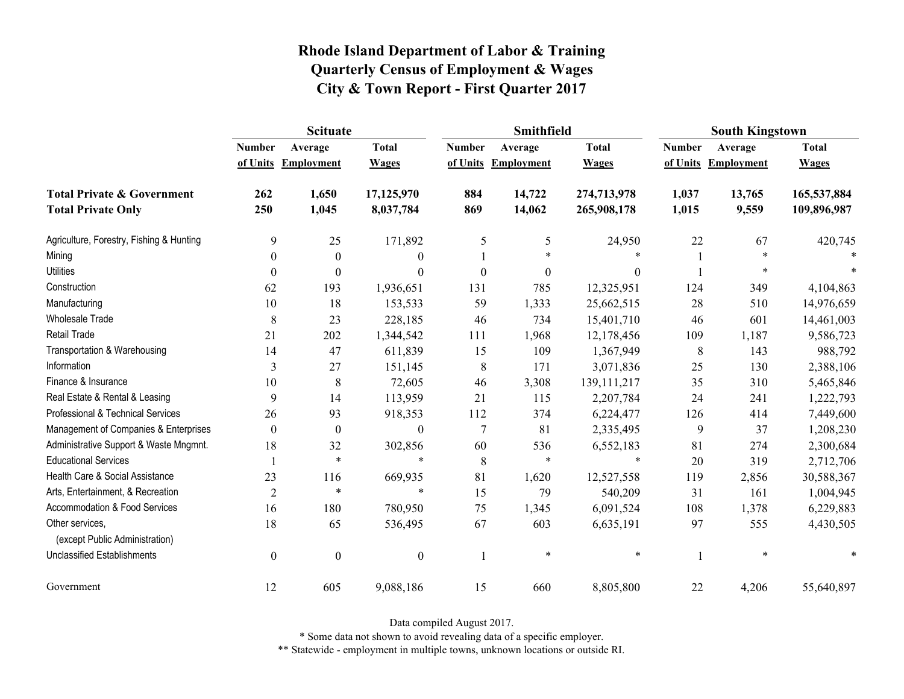|                                                   | <b>Scituate</b>  |                     |                  |                  | <b>Smithfield</b> |                  | <b>South Kingstown</b> |                     |              |
|---------------------------------------------------|------------------|---------------------|------------------|------------------|-------------------|------------------|------------------------|---------------------|--------------|
|                                                   | <b>Number</b>    | Average             | <b>Total</b>     | <b>Number</b>    | Average           | <b>Total</b>     | <b>Number</b>          | Average             | <b>Total</b> |
|                                                   |                  | of Units Employment | <b>Wages</b>     | of Units         | <b>Employment</b> | <b>Wages</b>     |                        | of Units Employment | <b>Wages</b> |
| <b>Total Private &amp; Government</b>             | 262              | 1,650               | 17,125,970       | 884              | 14,722            | 274,713,978      | 1,037                  | 13,765              | 165,537,884  |
| <b>Total Private Only</b>                         | 250              | 1,045               | 8,037,784        | 869              | 14,062            | 265,908,178      | 1,015                  | 9,559               | 109,896,987  |
| Agriculture, Forestry, Fishing & Hunting          | 9                | 25                  | 171,892          | 5                | 5                 | 24,950           | 22                     | 67                  | 420,745      |
| Mining                                            | 0                | $\boldsymbol{0}$    | $\boldsymbol{0}$ |                  | $\ast$            | $\ast$           |                        | $\ast$              |              |
| <b>Utilities</b>                                  | $\theta$         | $\theta$            | $\boldsymbol{0}$ | $\boldsymbol{0}$ | $\theta$          | $\boldsymbol{0}$ |                        | *                   |              |
| Construction                                      | 62               | 193                 | 1,936,651        | 131              | 785               | 12,325,951       | 124                    | 349                 | 4,104,863    |
| Manufacturing                                     | 10               | 18                  | 153,533          | 59               | 1,333             | 25,662,515       | 28                     | 510                 | 14,976,659   |
| <b>Wholesale Trade</b>                            | 8                | 23                  | 228,185          | 46               | 734               | 15,401,710       | 46                     | 601                 | 14,461,003   |
| Retail Trade                                      | 21               | 202                 | 1,344,542        | 111              | 1,968             | 12,178,456       | 109                    | 1,187               | 9,586,723    |
| Transportation & Warehousing                      | 14               | 47                  | 611,839          | 15               | 109               | 1,367,949        | $\,8\,$                | 143                 | 988,792      |
| Information                                       | 3                | 27                  | 151,145          | $\,8\,$          | 171               | 3,071,836        | 25                     | 130                 | 2,388,106    |
| Finance & Insurance                               | 10               | 8                   | 72,605           | 46               | 3,308             | 139, 111, 217    | 35                     | 310                 | 5,465,846    |
| Real Estate & Rental & Leasing                    | 9                | 14                  | 113,959          | 21               | 115               | 2,207,784        | 24                     | 241                 | 1,222,793    |
| Professional & Technical Services                 | 26               | 93                  | 918,353          | 112              | 374               | 6,224,477        | 126                    | 414                 | 7,449,600    |
| Management of Companies & Enterprises             | $\theta$         | $\boldsymbol{0}$    | $\boldsymbol{0}$ | $\overline{7}$   | 81                | 2,335,495        | 9                      | 37                  | 1,208,230    |
| Administrative Support & Waste Mngmnt.            | 18               | 32                  | 302,856          | 60               | 536               | 6,552,183        | 81                     | 274                 | 2,300,684    |
| <b>Educational Services</b>                       |                  | $\ast$              | $\ast$           | 8                | $\ast$            | $\ast$           | 20                     | 319                 | 2,712,706    |
| Health Care & Social Assistance                   | 23               | 116                 | 669,935          | 81               | 1,620             | 12,527,558       | 119                    | 2,856               | 30,588,367   |
| Arts, Entertainment, & Recreation                 | $\overline{2}$   | $\ast$              | $\ast$           | 15               | 79                | 540,209          | 31                     | 161                 | 1,004,945    |
| <b>Accommodation &amp; Food Services</b>          | 16               | 180                 | 780,950          | 75               | 1,345             | 6,091,524        | 108                    | 1,378               | 6,229,883    |
| Other services,<br>(except Public Administration) | 18               | 65                  | 536,495          | 67               | 603               | 6,635,191        | 97                     | 555                 | 4,430,505    |
| <b>Unclassified Establishments</b>                | $\boldsymbol{0}$ | $\boldsymbol{0}$    | $\boldsymbol{0}$ |                  | $\ast$            | $\ast$           |                        | $\ast$              |              |
| Government                                        | 12               | 605                 | 9,088,186        | 15               | 660               | 8,805,800        | 22                     | 4,206               | 55,640,897   |

Data compiled August 2017.

\* Some data not shown to avoid revealing data of a specific employer.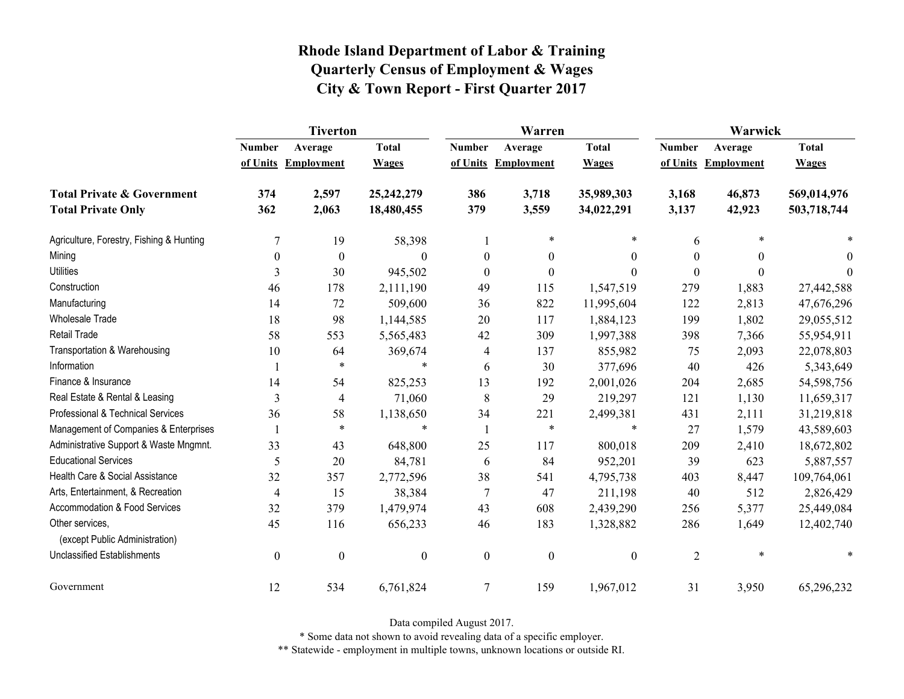|                                                   | <b>Tiverton</b>  |                     |                  |                  | Warren              |                  | Warwick        |                     |              |  |
|---------------------------------------------------|------------------|---------------------|------------------|------------------|---------------------|------------------|----------------|---------------------|--------------|--|
|                                                   | <b>Number</b>    | Average             | <b>Total</b>     | <b>Number</b>    | Average             | <b>Total</b>     | <b>Number</b>  | Average             | <b>Total</b> |  |
|                                                   |                  | of Units Employment | <b>Wages</b>     |                  | of Units Employment | <b>Wages</b>     |                | of Units Employment | <b>Wages</b> |  |
| <b>Total Private &amp; Government</b>             | 374              | 2,597               | 25,242,279       | 386              | 3,718               | 35,989,303       | 3,168          | 46,873              | 569,014,976  |  |
| <b>Total Private Only</b>                         | 362              | 2,063               | 18,480,455       | 379              | 3,559               | 34,022,291       | 3,137          | 42,923              | 503,718,744  |  |
| Agriculture, Forestry, Fishing & Hunting          | $\overline{7}$   | 19                  | 58,398           |                  | $\ast$              | $\ast$           | 6              | $\ast$              |              |  |
| Mining                                            | $\theta$         | $\boldsymbol{0}$    | $\Omega$         | $\theta$         | $\mathbf{0}$        | $\theta$         | 0              | $\theta$            | $\theta$     |  |
| <b>Utilities</b>                                  | 3                | 30                  | 945,502          | $\boldsymbol{0}$ | $\boldsymbol{0}$    | $\boldsymbol{0}$ | $\Omega$       | $\theta$            | $\theta$     |  |
| Construction                                      | 46               | 178                 | 2,111,190        | 49               | 115                 | 1,547,519        | 279            | 1,883               | 27,442,588   |  |
| Manufacturing                                     | 14               | 72                  | 509,600          | 36               | 822                 | 11,995,604       | 122            | 2,813               | 47,676,296   |  |
| <b>Wholesale Trade</b>                            | 18               | 98                  | 1,144,585        | $20\,$           | 117                 | 1,884,123        | 199            | 1,802               | 29,055,512   |  |
| <b>Retail Trade</b>                               | 58               | 553                 | 5,565,483        | 42               | 309                 | 1,997,388        | 398            | 7,366               | 55,954,911   |  |
| Transportation & Warehousing                      | 10               | 64                  | 369,674          | 4                | 137                 | 855,982          | 75             | 2,093               | 22,078,803   |  |
| Information                                       |                  | $\ast$              | $\ast$           | 6                | 30                  | 377,696          | 40             | 426                 | 5,343,649    |  |
| Finance & Insurance                               | 14               | 54                  | 825,253          | 13               | 192                 | 2,001,026        | 204            | 2,685               | 54,598,756   |  |
| Real Estate & Rental & Leasing                    | 3                | $\overline{4}$      | 71,060           | 8                | 29                  | 219,297          | 121            | 1,130               | 11,659,317   |  |
| Professional & Technical Services                 | 36               | 58                  | 1,138,650        | 34               | 221                 | 2,499,381        | 431            | 2,111               | 31,219,818   |  |
| Management of Companies & Enterprises             |                  | $\ast$              | $\ast$           |                  | $\ast$              | $\ast$           | 27             | 1,579               | 43,589,603   |  |
| Administrative Support & Waste Mngmnt.            | 33               | 43                  | 648,800          | 25               | 117                 | 800,018          | 209            | 2,410               | 18,672,802   |  |
| <b>Educational Services</b>                       | 5                | 20                  | 84,781           | 6                | 84                  | 952,201          | 39             | 623                 | 5,887,557    |  |
| Health Care & Social Assistance                   | 32               | 357                 | 2,772,596        | 38               | 541                 | 4,795,738        | 403            | 8,447               | 109,764,061  |  |
| Arts, Entertainment, & Recreation                 | $\overline{4}$   | 15                  | 38,384           | $\tau$           | 47                  | 211,198          | 40             | 512                 | 2,826,429    |  |
| Accommodation & Food Services                     | 32               | 379                 | 1,479,974        | 43               | 608                 | 2,439,290        | 256            | 5,377               | 25,449,084   |  |
| Other services,<br>(except Public Administration) | 45               | 116                 | 656,233          | 46               | 183                 | 1,328,882        | 286            | 1,649               | 12,402,740   |  |
| <b>Unclassified Establishments</b>                | $\boldsymbol{0}$ | $\boldsymbol{0}$    | $\boldsymbol{0}$ | $\boldsymbol{0}$ | $\boldsymbol{0}$    | $\boldsymbol{0}$ | $\overline{2}$ | $\ast$              | $\ast$       |  |
| Government                                        | 12               | 534                 | 6,761,824        | $\tau$           | 159                 | 1,967,012        | 31             | 3,950               | 65,296,232   |  |

Data compiled August 2017.

\* Some data not shown to avoid revealing data of a specific employer.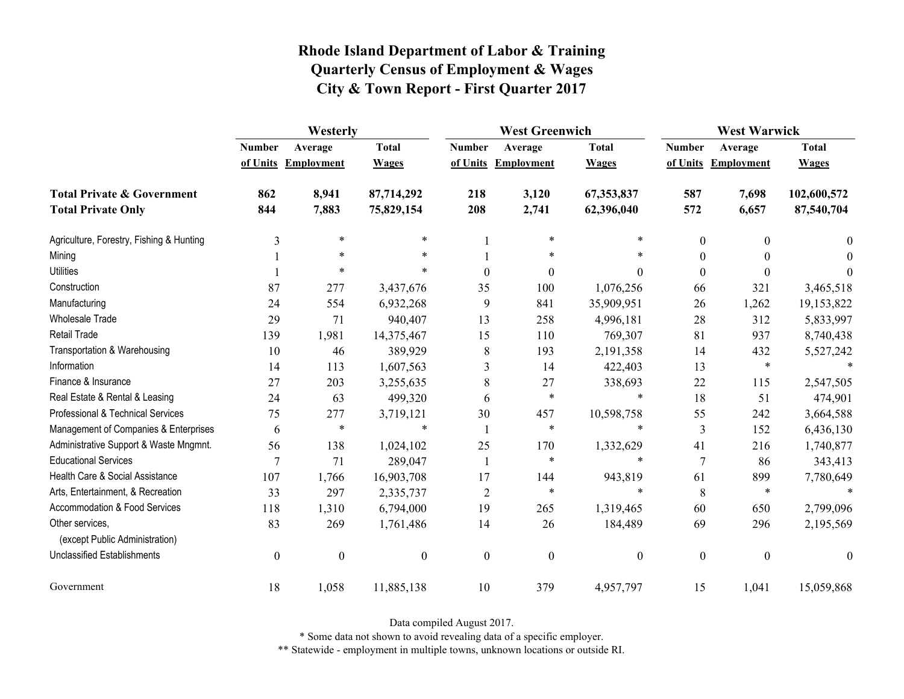|                                                   | Westerly         |                  |                  |                  | <b>West Greenwich</b> |                  |                  | <b>West Warwick</b> |              |  |
|---------------------------------------------------|------------------|------------------|------------------|------------------|-----------------------|------------------|------------------|---------------------|--------------|--|
|                                                   | <b>Number</b>    | Average          | <b>Total</b>     | <b>Number</b>    | Average               | <b>Total</b>     | <b>Number</b>    | Average             | <b>Total</b> |  |
|                                                   | of Units         | Employment       | <b>Wages</b>     |                  | of Units Employment   | <b>Wages</b>     |                  | of Units Employment | <b>Wages</b> |  |
| <b>Total Private &amp; Government</b>             | 862              | 8,941            | 87,714,292       | 218              | 3,120                 | 67,353,837       | 587              | 7,698               | 102,600,572  |  |
| <b>Total Private Only</b>                         | 844              | 7,883            | 75,829,154       | 208              | 2,741                 | 62,396,040       | 572              | 6,657               | 87,540,704   |  |
| Agriculture, Forestry, Fishing & Hunting          | 3                | $\ast$           | $\ast$           |                  | $\ast$                | $\ast$           | $\boldsymbol{0}$ | $\Omega$            | $\theta$     |  |
| Mining                                            |                  | $\ast$           |                  |                  | $\ast$                |                  | $\theta$         |                     | $\Omega$     |  |
| <b>Utilities</b>                                  |                  | $\ast$           | $\ast$           | $\theta$         | $\mathbf{0}$          | $\theta$         | $\boldsymbol{0}$ | $\Omega$            | $\Omega$     |  |
| Construction                                      | 87               | 277              | 3,437,676        | 35               | 100                   | 1,076,256        | 66               | 321                 | 3,465,518    |  |
| Manufacturing                                     | 24               | 554              | 6,932,268        | 9                | 841                   | 35,909,951       | 26               | 1,262               | 19,153,822   |  |
| <b>Wholesale Trade</b>                            | 29               | 71               | 940,407          | 13               | 258                   | 4,996,181        | 28               | 312                 | 5,833,997    |  |
| Retail Trade                                      | 139              | 1,981            | 14,375,467       | 15               | 110                   | 769,307          | 81               | 937                 | 8,740,438    |  |
| Transportation & Warehousing                      | 10               | 46               | 389,929          | 8                | 193                   | 2,191,358        | 14               | 432                 | 5,527,242    |  |
| Information                                       | 14               | 113              | 1,607,563        | 3                | 14                    | 422,403          | 13               | $\ast$              |              |  |
| Finance & Insurance                               | 27               | 203              | 3,255,635        | 8                | 27                    | 338,693          | 22               | 115                 | 2,547,505    |  |
| Real Estate & Rental & Leasing                    | 24               | 63               | 499,320          | 6                | $\ast$                | $\ast$           | 18               | 51                  | 474,901      |  |
| Professional & Technical Services                 | 75               | 277              | 3,719,121        | 30               | 457                   | 10,598,758       | 55               | 242                 | 3,664,588    |  |
| Management of Companies & Enterprises             | 6                | $\ast$           | $\ast$           |                  | $\ast$                | $\ast$           | 3                | 152                 | 6,436,130    |  |
| Administrative Support & Waste Mngmnt.            | 56               | 138              | 1,024,102        | 25               | 170                   | 1,332,629        | 41               | 216                 | 1,740,877    |  |
| <b>Educational Services</b>                       | 7                | 71               | 289,047          | 1                | $\ast$                | $\ast$           | $\overline{7}$   | 86                  | 343,413      |  |
| Health Care & Social Assistance                   | 107              | 1,766            | 16,903,708       | 17               | 144                   | 943,819          | 61               | 899                 | 7,780,649    |  |
| Arts, Entertainment, & Recreation                 | 33               | 297              | 2,335,737        | $\overline{2}$   | $\ast$                | $\ast$           | 8                | $\ast$              | $\ast$       |  |
| Accommodation & Food Services                     | 118              | 1,310            | 6,794,000        | 19               | 265                   | 1,319,465        | 60               | 650                 | 2,799,096    |  |
| Other services.<br>(except Public Administration) | 83               | 269              | 1,761,486        | 14               | 26                    | 184,489          | 69               | 296                 | 2,195,569    |  |
| <b>Unclassified Establishments</b>                | $\boldsymbol{0}$ | $\boldsymbol{0}$ | $\boldsymbol{0}$ | $\boldsymbol{0}$ | $\boldsymbol{0}$      | $\boldsymbol{0}$ | $\boldsymbol{0}$ | $\boldsymbol{0}$    | $\theta$     |  |
| Government                                        | 18               | 1,058            | 11,885,138       | 10               | 379                   | 4,957,797        | 15               | 1,041               | 15,059,868   |  |

Data compiled August 2017.

\* Some data not shown to avoid revealing data of a specific employer.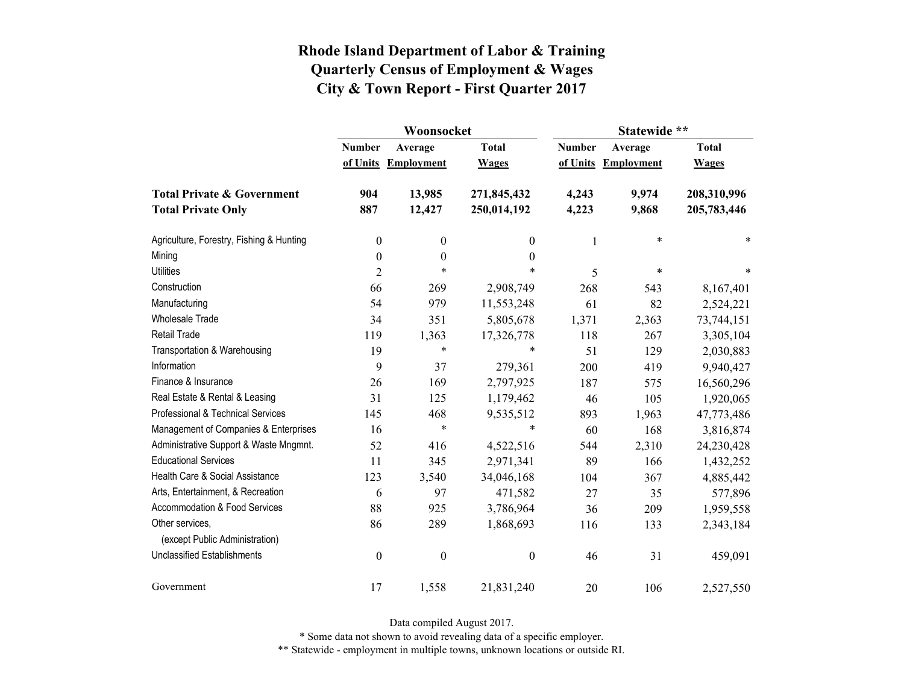|                                                   |                  | Woonsocket        |                  | Statewide **  |                   |              |  |
|---------------------------------------------------|------------------|-------------------|------------------|---------------|-------------------|--------------|--|
|                                                   | <b>Number</b>    | Average           | <b>Total</b>     | <b>Number</b> | Average           | <b>Total</b> |  |
|                                                   | of Units         | <b>Employment</b> | <b>Wages</b>     | of Units      | <b>Employment</b> | <b>Wages</b> |  |
| <b>Total Private &amp; Government</b>             | 904              | 13,985            | 271,845,432      | 4,243         | 9,974             | 208,310,996  |  |
| <b>Total Private Only</b>                         | 887              | 12,427            | 250,014,192      | 4,223         | 9,868             | 205,783,446  |  |
| Agriculture, Forestry, Fishing & Hunting          | $\boldsymbol{0}$ | $\boldsymbol{0}$  | 0                | 1             | $\ast$            | *            |  |
| Mining                                            | $\boldsymbol{0}$ | $\boldsymbol{0}$  | $\boldsymbol{0}$ |               |                   |              |  |
| <b>Utilities</b>                                  | $\overline{2}$   | $\ast$            | $\ast$           | 5             | $\ast$            | $\ast$       |  |
| Construction                                      | 66               | 269               | 2,908,749        | 268           | 543               | 8,167,401    |  |
| Manufacturing                                     | 54               | 979               | 11,553,248       | 61            | 82                | 2,524,221    |  |
| <b>Wholesale Trade</b>                            | 34               | 351               | 5,805,678        | 1,371         | 2,363             | 73,744,151   |  |
| Retail Trade                                      | 119              | 1,363             | 17,326,778       | 118           | 267               | 3,305,104    |  |
| Transportation & Warehousing                      | 19               | $\ast$            | $\ast$           | 51            | 129               | 2,030,883    |  |
| Information                                       | 9                | 37                | 279,361          | 200           | 419               | 9,940,427    |  |
| Finance & Insurance                               | 26               | 169               | 2,797,925        | 187           | 575               | 16,560,296   |  |
| Real Estate & Rental & Leasing                    | 31               | 125               | 1,179,462        | 46            | 105               | 1,920,065    |  |
| Professional & Technical Services                 | 145              | 468               | 9,535,512        | 893           | 1,963             | 47,773,486   |  |
| Management of Companies & Enterprises             | 16               | $\ast$            | $\ast$           | 60            | 168               | 3,816,874    |  |
| Administrative Support & Waste Mngmnt.            | 52               | 416               | 4,522,516        | 544           | 2,310             | 24,230,428   |  |
| <b>Educational Services</b>                       | 11               | 345               | 2,971,341        | 89            | 166               | 1,432,252    |  |
| Health Care & Social Assistance                   | 123              | 3,540             | 34,046,168       | 104           | 367               | 4,885,442    |  |
| Arts, Entertainment, & Recreation                 | 6                | 97                | 471,582          | 27            | 35                | 577,896      |  |
| Accommodation & Food Services                     | 88               | 925               | 3,786,964        | 36            | 209               | 1,959,558    |  |
| Other services,<br>(except Public Administration) | 86               | 289               | 1,868,693        | 116           | 133               | 2,343,184    |  |
| <b>Unclassified Establishments</b>                | $\boldsymbol{0}$ | $\boldsymbol{0}$  | $\boldsymbol{0}$ | 46            | 31                | 459,091      |  |
| Government                                        | 17               | 1,558             | 21,831,240       | 20            | 106               | 2,527,550    |  |

Data compiled August 2017.

\* Some data not shown to avoid revealing data of a specific employer.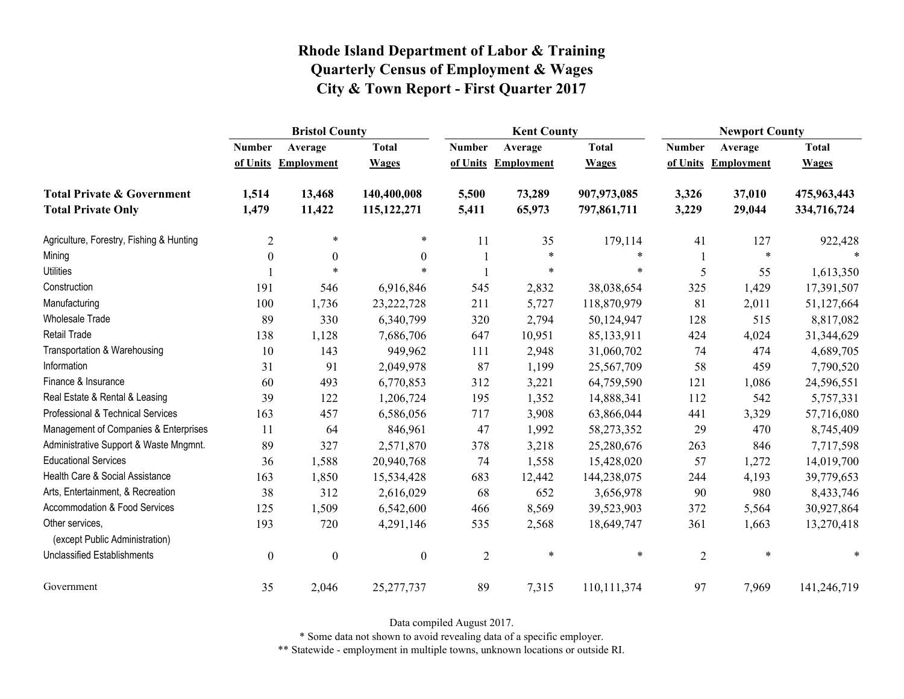|                                                   | <b>Bristol County</b> |                   |                  |                | <b>Kent County</b> |              |                | <b>Newport County</b> |              |  |
|---------------------------------------------------|-----------------------|-------------------|------------------|----------------|--------------------|--------------|----------------|-----------------------|--------------|--|
|                                                   | <b>Number</b>         | Average           | <b>Total</b>     | <b>Number</b>  | Average            | <b>Total</b> | <b>Number</b>  | Average               | <b>Total</b> |  |
|                                                   | of Units              | <b>Employment</b> | <b>Wages</b>     | of Units       | <b>Employment</b>  | <b>Wages</b> | of Units       | <b>Employment</b>     | <b>Wages</b> |  |
| <b>Total Private &amp; Government</b>             | 1,514                 | 13,468            | 140,400,008      | 5,500          | 73,289             | 907,973,085  | 3,326          | 37,010                | 475,963,443  |  |
| <b>Total Private Only</b>                         | 1,479                 | 11,422            | 115, 122, 271    | 5,411          | 65,973             | 797,861,711  | 3,229          | 29,044                | 334,716,724  |  |
| Agriculture, Forestry, Fishing & Hunting          | $\overline{2}$        | $\ast$            | $\ast$           | 11             | 35                 | 179,114      | 41             | 127                   | 922,428      |  |
| Mining                                            | $\boldsymbol{0}$      | $\boldsymbol{0}$  | $\boldsymbol{0}$ |                | $\ast$             | $\ast$       |                | $\ast$                |              |  |
| <b>Utilities</b>                                  |                       | $\ast$            | $\ast$           |                | $\ast$             | *            | 5              | 55                    | 1,613,350    |  |
| Construction                                      | 191                   | 546               | 6,916,846        | 545            | 2,832              | 38,038,654   | 325            | 1,429                 | 17,391,507   |  |
| Manufacturing                                     | 100                   | 1,736             | 23, 222, 728     | 211            | 5,727              | 118,870,979  | 81             | 2,011                 | 51,127,664   |  |
| Wholesale Trade                                   | 89                    | 330               | 6,340,799        | 320            | 2,794              | 50,124,947   | 128            | 515                   | 8,817,082    |  |
| <b>Retail Trade</b>                               | 138                   | 1,128             | 7,686,706        | 647            | 10,951             | 85,133,911   | 424            | 4,024                 | 31,344,629   |  |
| Transportation & Warehousing                      | 10                    | 143               | 949,962          | 111            | 2,948              | 31,060,702   | 74             | 474                   | 4,689,705    |  |
| Information                                       | 31                    | 91                | 2,049,978        | 87             | 1,199              | 25,567,709   | 58             | 459                   | 7,790,520    |  |
| Finance & Insurance                               | 60                    | 493               | 6,770,853        | 312            | 3,221              | 64,759,590   | 121            | 1,086                 | 24,596,551   |  |
| Real Estate & Rental & Leasing                    | 39                    | 122               | 1,206,724        | 195            | 1,352              | 14,888,341   | 112            | 542                   | 5,757,331    |  |
| Professional & Technical Services                 | 163                   | 457               | 6,586,056        | 717            | 3,908              | 63,866,044   | 441            | 3,329                 | 57,716,080   |  |
| Management of Companies & Enterprises             | 11                    | 64                | 846,961          | 47             | 1,992              | 58,273,352   | 29             | 470                   | 8,745,409    |  |
| Administrative Support & Waste Mngmnt.            | 89                    | 327               | 2,571,870        | 378            | 3,218              | 25,280,676   | 263            | 846                   | 7,717,598    |  |
| <b>Educational Services</b>                       | 36                    | 1,588             | 20,940,768       | 74             | 1,558              | 15,428,020   | 57             | 1,272                 | 14,019,700   |  |
| Health Care & Social Assistance                   | 163                   | 1,850             | 15,534,428       | 683            | 12,442             | 144,238,075  | 244            | 4,193                 | 39,779,653   |  |
| Arts, Entertainment, & Recreation                 | 38                    | 312               | 2,616,029        | 68             | 652                | 3,656,978    | 90             | 980                   | 8,433,746    |  |
| Accommodation & Food Services                     | 125                   | 1,509             | 6,542,600        | 466            | 8,569              | 39,523,903   | 372            | 5,564                 | 30,927,864   |  |
| Other services,<br>(except Public Administration) | 193                   | 720               | 4,291,146        | 535            | 2,568              | 18,649,747   | 361            | 1,663                 | 13,270,418   |  |
| <b>Unclassified Establishments</b>                | $\boldsymbol{0}$      | $\boldsymbol{0}$  | $\boldsymbol{0}$ | $\overline{c}$ | $\ast$             | $\ast$       | $\overline{2}$ | $\ast$                | *            |  |
| Government                                        | 35                    | 2,046             | 25, 277, 737     | 89             | 7,315              | 110,111,374  | 97             | 7,969                 | 141,246,719  |  |

Data compiled August 2017.

\* Some data not shown to avoid revealing data of a specific employer.